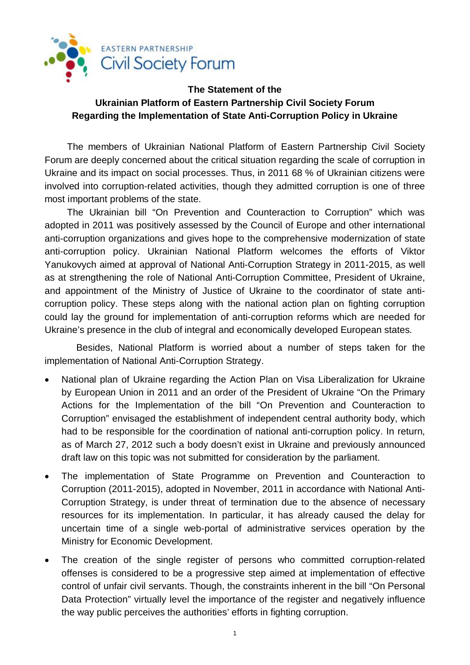

## **The Statement of the Ukrainian Platform of Eastern Partnership Civil Society Forum Regarding the Implementation of State Anti-Corruption Policy in Ukraine**

The members of Ukrainian National Platform of Eastern Partnership Civil Society Forum are deeply concerned about the critical situation regarding the scale of corruption in Ukraine and its impact on social processes. Thus, in 2011 68 % of Ukrainian citizens were involved into corruption-related activities, though they admitted corruption is one of three most important problems of the state.

The Ukrainian bill "On Prevention and Counteraction to Corruption" which was adopted in 2011 was positively assessed by the Council of Europe and other international anti-corruption organizations and gives hope to the comprehensive modernization of state anti-corruption policy. Ukrainian National Platform welcomes the efforts of Viktor Yanukovych aimed at approval of National Anti-Corruption Strategy in 2011-2015, as well as at strengthening the role of National Anti-Corruption Committee, President of Ukraine, and appointment of the Ministry of Justice of Ukraine to the coordinator of state anticorruption policy. These steps along with the national action plan on fighting corruption could lay the ground for implementation of anti-corruption reforms which are needed for Ukraine's presence in the club of integral and economically developed European states.

Besides, National Platform is worried about a number of steps taken for the implementation of National Anti-Corruption Strategy.

- · National plan of Ukraine regarding the Action Plan on Visa Liberalization for Ukraine by European Union in 2011 and an order of the President of Ukraine "On the Primary Actions for the Implementation of the bill "On Prevention and Counteraction to Corruption" envisaged the establishment of independent central authority body, which had to be responsible for the coordination of national anti-corruption policy. In return, as of March 27, 2012 such a body doesn't exist in Ukraine and previously announced draft law on this topic was not submitted for consideration by the parliament.
- · The implementation of State Programme on Prevention and Counteraction to Corruption (2011-2015), adopted in November, 2011 in accordance with National Anti-Corruption Strategy, is under threat of termination due to the absence of necessary resources for its implementation. In particular, it has already caused the delay for uncertain time of a single web-portal of administrative services operation by the Ministry for Economic Development.
- · The creation of the single register of persons who committed corruption-related offenses is considered to be a progressive step aimed at implementation of effective control of unfair civil servants. Though, the constraints inherent in the bill "On Personal Data Protection" virtually level the importance of the register and negatively influence the way public perceives the authorities' efforts in fighting corruption.